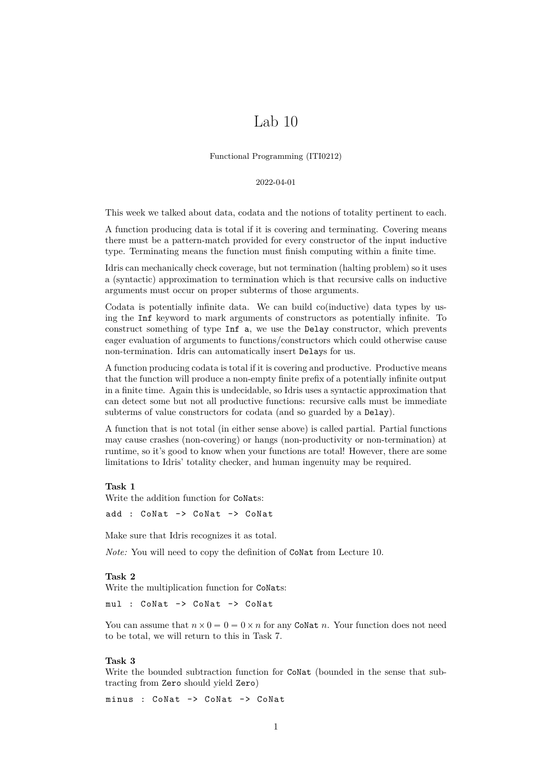# Lab 10

Functional Programming (ITI0212)

#### 2022-04-01

This week we talked about data, codata and the notions of totality pertinent to each.

A function producing data is total if it is covering and terminating. Covering means there must be a pattern-match provided for every constructor of the input inductive type. Terminating means the function must finish computing within a finite time.

Idris can mechanically check coverage, but not termination (halting problem) so it uses a (syntactic) approximation to termination which is that recursive calls on inductive arguments must occur on proper subterms of those arguments.

Codata is potentially infinite data. We can build co(inductive) data types by using the Inf keyword to mark arguments of constructors as potentially infinite. To construct something of type Inf a, we use the Delay constructor, which prevents eager evaluation of arguments to functions/constructors which could otherwise cause non-termination. Idris can automatically insert Delays for us.

A function producing codata is total if it is covering and productive. Productive means that the function will produce a non-empty finite prefix of a potentially infinite output in a finite time. Again this is undecidable, so Idris uses a syntactic approximation that can detect some but not all productive functions: recursive calls must be immediate subterms of value constructors for codata (and so guarded by a Delay).

A function that is not total (in either sense above) is called partial. Partial functions may cause crashes (non-covering) or hangs (non-productivity or non-termination) at runtime, so it's good to know when your functions are total! However, there are some limitations to Idris' totality checker, and human ingenuity may be required.

#### **Task 1**

Write the addition function for CoNats:

add : CoNat -> CoNat -> CoNat

Make sure that Idris recognizes it as total.

*Note:* You will need to copy the definition of CoNat from Lecture 10.

## <span id="page-0-0"></span>**Task 2**

Write the multiplication function for CoNats:

mul : CoNat -> CoNat -> CoNat

You can assume that  $n \times 0 = 0 = 0 \times n$  for any CoNat *n*. Your function does not need to be total, we will return to this in Task [7.](#page-1-0)

#### **Task 3**

Write the bounded subtraction function for CoNat (bounded in the sense that subtracting from Zero should yield Zero)

minus : CoNat -> CoNat -> CoNat